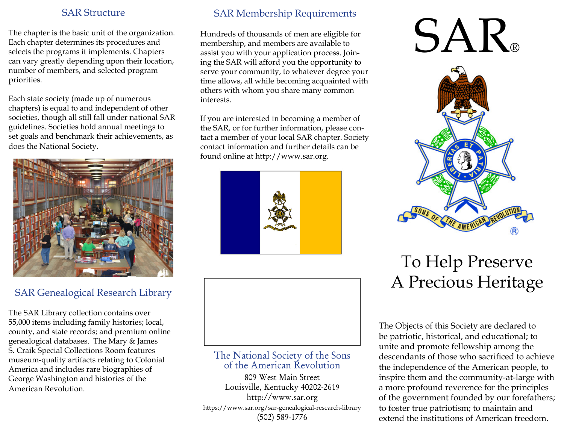#### SAR Structure

The chapter is the basic unit of the organization. Each chapter determines its procedures and selects the programs it implements. Chapters can vary greatly depending upon their location, number of members, and selected program priorities.

Each state society (made up of numerous chapters) is equal to and independent of other societies, though all still fall under national SAR guidelines. Societies hold annual meetings to set goals and benchmark their achievements, as does the National Society.



# SAR Genealogical Research Library

The SAR Library collection contains over 55,000 items including family histories; local, county, and state records; and premium online genealogical databases. The Mary & James S. Craik Special Collections Room features museum-quality artifacts relating to Colonial America and includes rare biographies of George Washington and histories of the American Revolution.

### SAR Membership Requirements

Hundreds of thousands of men are eligible for membership, and members are available to assist you with your application process. Joining the SAR will afford you the opportunity to serve your community, to whatever degree your time allows, all while becoming acquainted with others with whom you share many common interests.

If you are interested in becoming a member of the SAR, or for further information, please contact a member of your local SAR chapter. Society contact information and further details can be found online at http://www.sar.org.





#### The National Society of the Sonsof the American Revolution

809 West Main Street Louisville, Kentucky 40202-2619http://www.sar.org https://www.sar.org/sar-genealogical-research-library(502) 589-1776

# SAR®



# To Help PreserveA Precious Heritage

The Objects of this Society are declared to be patriotic, historical, and educational; to unite and promote fellowship among the descendants of those who sacrificed to achieve the independence of the American people, to inspire them and the community-at-large with a more profound reverence for the principles of the government founded by our forefathers; to foster true patriotism; to maintain and extend the institutions of American freedom.